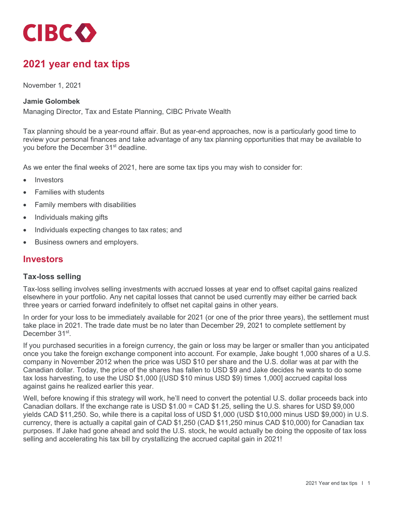

# **2021 year end tax tips**

November 1, 2021

#### **Jamie Golombek**

Managing Director, Tax and Estate Planning, CIBC Private Wealth

Tax planning should be a year-round affair. But as year-end approaches, now is a particularly good time to review your personal finances and take advantage of any tax planning opportunities that may be available to you before the December 31<sup>st</sup> deadline.

As we enter the final weeks of 2021, here are some tax tips you may wish to consider for:

- **Investors**
- Families with students
- Family members with disabilities
- Individuals making gifts
- Individuals expecting changes to tax rates; and
- Business owners and employers.

### **Investors**

#### **Tax-loss selling**

Tax-loss selling involves selling investments with accrued losses at year end to offset capital gains realized elsewhere in your portfolio. Any net capital losses that cannot be used currently may either be carried back three years or carried forward indefinitely to offset net capital gains in other years.

In order for your loss to be immediately available for 2021 (or one of the prior three years), the settlement must take place in 2021. The trade date must be no later than December 29, 2021 to complete settlement by December 31<sup>st</sup>.

If you purchased securities in a foreign currency, the gain or loss may be larger or smaller than you anticipated once you take the foreign exchange component into account. For example, Jake bought 1,000 shares of a U.S. company in November 2012 when the price was USD \$10 per share and the U.S. dollar was at par with the Canadian dollar. Today, the price of the shares has fallen to USD \$9 and Jake decides he wants to do some tax loss harvesting, to use the USD \$1,000 [(USD \$10 minus USD \$9) times 1,000] accrued capital loss against gains he realized earlier this year.

Well, before knowing if this strategy will work, he'll need to convert the potential U.S. dollar proceeds back into Canadian dollars. If the exchange rate is USD \$1.00 = CAD \$1.25, selling the U.S. shares for USD \$9,000 yields CAD \$11,250. So, while there is a capital loss of USD \$1,000 (USD \$10,000 minus USD \$9,000) in U.S. currency, there is actually a capital gain of CAD \$1,250 (CAD \$11,250 minus CAD \$10,000) for Canadian tax purposes. If Jake had gone ahead and sold the U.S. stock, he would actually be doing the opposite of tax loss selling and accelerating his tax bill by crystallizing the accrued capital gain in 2021!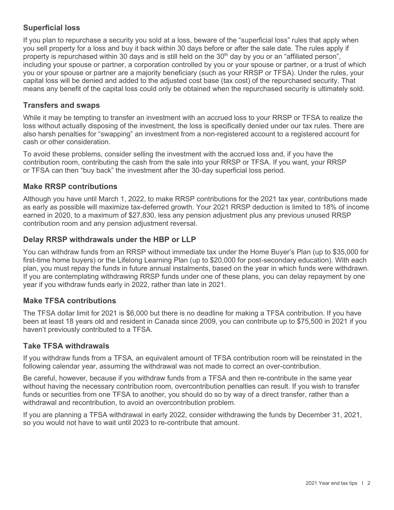## **Superficial loss**

If you plan to repurchase a security you sold at a loss, beware of the "superficial loss" rules that apply when you sell property for a loss and buy it back within 30 days before or after the sale date. The rules apply if property is repurchased within 30 days and is still held on the 30<sup>th</sup> day by you or an "affiliated person", including your spouse or partner, a corporation controlled by you or your spouse or partner, or a trust of which you or your spouse or partner are a majority beneficiary (such as your RRSP or TFSA). Under the rules, your capital loss will be denied and added to the adjusted cost base (tax cost) of the repurchased security. That means any benefit of the capital loss could only be obtained when the repurchased security is ultimately sold.

### **Transfers and swaps**

While it may be tempting to transfer an investment with an accrued loss to your RRSP or TFSA to realize the loss without actually disposing of the investment, the loss is specifically denied under our tax rules. There are also harsh penalties for "swapping" an investment from a non-registered account to a registered account for cash or other consideration.

To avoid these problems, consider selling the investment with the accrued loss and, if you have the contribution room, contributing the cash from the sale into your RRSP or TFSA. If you want, your RRSP or TFSA can then "buy back" the investment after the 30-day superficial loss period.

## **Make RRSP contributions**

Although you have until March 1, 2022, to make RRSP contributions for the 2021 tax year, contributions made as early as possible will maximize tax-deferred growth. Your 2021 RRSP deduction is limited to 18% of income earned in 2020, to a maximum of \$27,830, less any pension adjustment plus any previous unused RRSP contribution room and any pension adjustment reversal.

### **Delay RRSP withdrawals under the HBP or LLP**

You can withdraw funds from an RRSP without immediate tax under the Home Buyer's Plan (up to \$35,000 for first-time home buyers) or the Lifelong Learning Plan (up to \$20,000 for post-secondary education). With each plan, you must repay the funds in future annual instalments, based on the year in which funds were withdrawn. If you are contemplating withdrawing RRSP funds under one of these plans, you can delay repayment by one year if you withdraw funds early in 2022, rather than late in 2021.

### **Make TFSA contributions**

The TFSA dollar limit for 2021 is \$6,000 but there is no deadline for making a TFSA contribution. If you have been at least 18 years old and resident in Canada since 2009, you can contribute up to \$75,500 in 2021 if you haven't previously contributed to a TFSA.

### **Take TFSA withdrawals**

If you withdraw funds from a TFSA, an equivalent amount of TFSA contribution room will be reinstated in the following calendar year, assuming the withdrawal was not made to correct an over-contribution.

Be careful, however, because if you withdraw funds from a TFSA and then re-contribute in the same year without having the necessary contribution room, overcontribution penalties can result. If you wish to transfer funds or securities from one TFSA to another, you should do so by way of a direct transfer, rather than a withdrawal and recontribution, to avoid an overcontribution problem.

If you are planning a TFSA withdrawal in early 2022, consider withdrawing the funds by December 31, 2021, so you would not have to wait until 2023 to re-contribute that amount.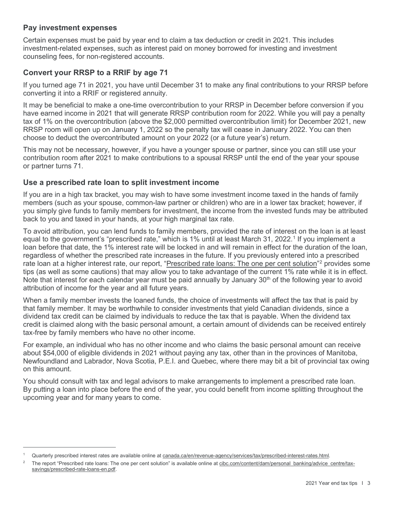### **Pay investment expenses**

Certain expenses must be paid by year end to claim a tax deduction or credit in 2021. This includes investment-related expenses, such as interest paid on money borrowed for investing and investment counseling fees, for non-registered accounts.

## **Convert your RRSP to a RRIF by age 71**

If you turned age 71 in 2021, you have until December 31 to make any final contributions to your RRSP before converting it into a RRIF or registered annuity.

It may be beneficial to make a one-time overcontribution to your RRSP in December before conversion if you have earned income in 2021 that will generate RRSP contribution room for 2022. While you will pay a penalty tax of 1% on the overcontribution (above the \$2,000 permitted overcontribution limit) for December 2021, new RRSP room will open up on January 1, 2022 so the penalty tax will cease in January 2022. You can then choose to deduct the overcontributed amount on your 2022 (or a future year's) return.

This may not be necessary, however, if you have a younger spouse or partner, since you can still use your contribution room after 2021 to make contributions to a spousal RRSP until the end of the year your spouse or partner turns 71.

### **Use a prescribed rate loan to split investment income**

If you are in a high tax bracket, you may wish to have some investment income taxed in the hands of family members (such as your spouse, common-law partner or children) who are in a lower tax bracket; however, if you simply give funds to family members for investment, the income from the invested funds may be attributed back to you and taxed in your hands, at your high marginal tax rate.

To avoid attribution, you can lend funds to family members, provided the rate of interest on the loan is at least equal to the government's "prescribed rate," which is 1% until at least March 31, 2022. [1](#page-2-0) If you implement a loan before that date, the 1% interest rate will be locked in and will remain in effect for the duration of the loan, regardless of whether the prescribed rate increases in the future. If you previously entered into a prescribed rate loan at a higher interest rate, our report, ["Prescribed rate loans: The one per cent solution"](https://www.cibc.com/content/dam/personal_banking/advice_centre/tax-savings/prescribed-rate-loans-en.pdf)<sup>[2](#page-2-1)</sup> provides some tips (as well as some cautions) that may allow you to take advantage of the current 1% rate while it is in effect. Note that interest for each calendar year must be paid annually by January  $30<sup>th</sup>$  of the following year to avoid attribution of income for the year and all future years.

When a family member invests the loaned funds, the choice of investments will affect the tax that is paid by that family member. It may be worthwhile to consider investments that yield Canadian dividends, since a dividend tax credit can be claimed by individuals to reduce the tax that is payable. When the dividend tax credit is claimed along with the basic personal amount, a certain amount of dividends can be received entirely tax-free by family members who have no other income.

For example, an individual who has no other income and who claims the basic personal amount can receive about \$54,000 of eligible dividends in 2021 without paying any tax, other than in the provinces of Manitoba, Newfoundland and Labrador, Nova Scotia, P.E.I. and Quebec, where there may bit a bit of provincial tax owing on this amount.

You should consult with tax and legal advisors to make arrangements to implement a prescribed rate loan. By putting a loan into place before the end of the year, you could benefit from income splitting throughout the upcoming year and for many years to come.

<span id="page-2-0"></span>Quarterly prescribed interest rates are available online at [canada.ca/en/revenue-agency/services/tax/prescribed-interest-rates.html.](https://www.canada.ca/en/revenue-agency/services/tax/prescribed-interest-rates.html)

<span id="page-2-1"></span>The report "Prescribed rate loans: The one per cent solution" is available online at [cibc.com/content/dam/personal\\_banking/advice\\_centre/tax](https://www.cibc.com/content/dam/personal_banking/advice_centre/tax-savings/prescribed-rate-loans-en.pdf)[savings/prescribed-rate-loans-en.pdf.](https://www.cibc.com/content/dam/personal_banking/advice_centre/tax-savings/prescribed-rate-loans-en.pdf)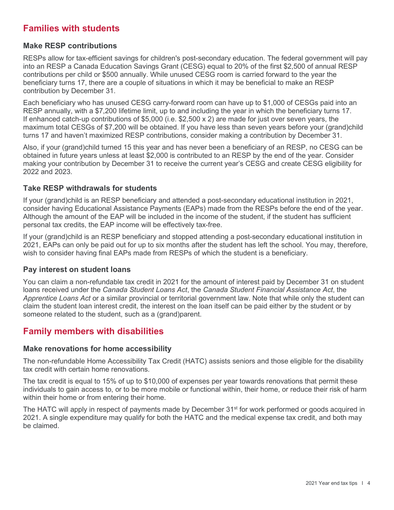## **Families with students**

### **Make RESP contributions**

RESPs allow for tax-efficient savings for children's post-secondary education. The federal government will pay into an RESP a Canada Education Savings Grant (CESG) equal to 20% of the first \$2,500 of annual RESP contributions per child or \$500 annually. While unused CESG room is carried forward to the year the beneficiary turns 17, there are a couple of situations in which it may be beneficial to make an RESP contribution by December 31.

Each beneficiary who has unused CESG carry-forward room can have up to \$1,000 of CESGs paid into an RESP annually, with a \$7,200 lifetime limit, up to and including the year in which the beneficiary turns 17. If enhanced catch-up contributions of \$5,000 (i.e. \$2,500 x 2) are made for just over seven years, the maximum total CESGs of \$7,200 will be obtained. If you have less than seven years before your (grand)child turns 17 and haven't maximized RESP contributions, consider making a contribution by December 31.

Also, if your (grand)child turned 15 this year and has never been a beneficiary of an RESP, no CESG can be obtained in future years unless at least \$2,000 is contributed to an RESP by the end of the year. Consider making your contribution by December 31 to receive the current year's CESG and create CESG eligibility for 2022 and 2023.

### **Take RESP withdrawals for students**

If your (grand)child is an RESP beneficiary and attended a post-secondary educational institution in 2021, consider having Educational Assistance Payments (EAPs) made from the RESPs before the end of the year. Although the amount of the EAP will be included in the income of the student, if the student has sufficient personal tax credits, the EAP income will be effectively tax-free.

If your (grand)child is an RESP beneficiary and stopped attending a post-secondary educational institution in 2021, EAPs can only be paid out for up to six months after the student has left the school. You may, therefore, wish to consider having final EAPs made from RESPs of which the student is a beneficiary.

### **Pay interest on student loans**

You can claim a non-refundable tax credit in 2021 for the amount of interest paid by December 31 on student loans received under the *Canada Student Loans Act*, the *Canada Student Financial Assistance Act*, the *Apprentice Loans Act* or a similar provincial or territorial government law. Note that while only the student can claim the student loan interest credit, the interest on the loan itself can be paid either by the student or by someone related to the student, such as a (grand)parent.

## **Family members with disabilities**

### **Make renovations for home accessibility**

The non-refundable Home Accessibility Tax Credit (HATC) assists seniors and those eligible for the disability tax credit with certain home renovations.

The tax credit is equal to 15% of up to \$10,000 of expenses per year towards renovations that permit these individuals to gain access to, or to be more mobile or functional within, their home, or reduce their risk of harm within their home or from entering their home.

The HATC will apply in respect of payments made by December 31<sup>st</sup> for work performed or goods acquired in 2021. A single expenditure may qualify for both the HATC and the medical expense tax credit, and both may be claimed.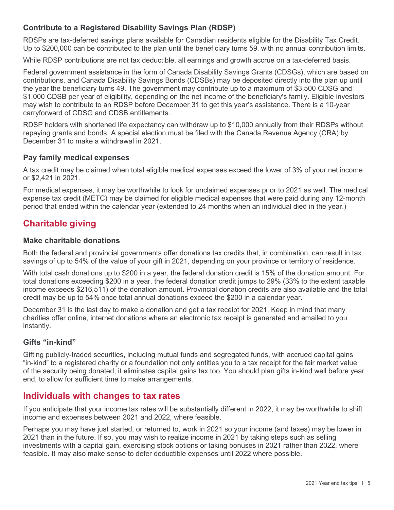## **Contribute to a Registered Disability Savings Plan (RDSP)**

RDSPs are tax-deferred savings plans available for Canadian residents eligible for the Disability Tax Credit. Up to \$200,000 can be contributed to the plan until the beneficiary turns 59, with no annual contribution limits.

While RDSP contributions are not tax deductible, all earnings and growth accrue on a tax-deferred basis.

Federal government assistance in the form of Canada Disability Savings Grants (CDSGs), which are based on contributions, and Canada Disability Savings Bonds (CDSBs) may be deposited directly into the plan up until the year the beneficiary turns 49. The government may contribute up to a maximum of \$3,500 CDSG and \$1,000 CDSB per year of eligibility, depending on the net income of the beneficiary's family. Eligible investors may wish to contribute to an RDSP before December 31 to get this year's assistance. There is a 10-year carryforward of CDSG and CDSB entitlements.

RDSP holders with shortened life expectancy can withdraw up to \$10,000 annually from their RDSPs without repaying grants and bonds. A special election must be filed with the Canada Revenue Agency (CRA) by December 31 to make a withdrawal in 2021.

## **Pay family medical expenses**

A tax credit may be claimed when total eligible medical expenses exceed the lower of 3% of your net income or \$2,421 in 2021.

For medical expenses, it may be worthwhile to look for unclaimed expenses prior to 2021 as well. The medical expense tax credit (METC) may be claimed for eligible medical expenses that were paid during any 12-month period that ended within the calendar year (extended to 24 months when an individual died in the year.)

# **Charitable giving**

### **Make charitable donations**

Both the federal and provincial governments offer donations tax credits that, in combination, can result in tax savings of up to 54% of the value of your gift in 2021, depending on your province or territory of residence.

With total cash donations up to \$200 in a year, the federal donation credit is 15% of the donation amount. For total donations exceeding \$200 in a year, the federal donation credit jumps to 29% (33% to the extent taxable income exceeds \$216,511) of the donation amount. Provincial donation credits are also available and the total credit may be up to 54% once total annual donations exceed the \$200 in a calendar year.

December 31 is the last day to make a donation and get a tax receipt for 2021. Keep in mind that many charities offer online, internet donations where an electronic tax receipt is generated and emailed to you instantly.

### **Gifts "in-kind"**

Gifting publicly-traded securities, including mutual funds and segregated funds, with accrued capital gains "in-kind" to a registered charity or a foundation not only entitles you to a tax receipt for the fair market value of the security being donated, it eliminates capital gains tax too. You should plan gifts in-kind well before year end, to allow for sufficient time to make arrangements.

## **Individuals with changes to tax rates**

If you anticipate that your income tax rates will be substantially different in 2022, it may be worthwhile to shift income and expenses between 2021 and 2022, where feasible.

Perhaps you may have just started, or returned to, work in 2021 so your income (and taxes) may be lower in 2021 than in the future. If so, you may wish to realize income in 2021 by taking steps such as selling investments with a capital gain, exercising stock options or taking bonuses in 2021 rather than 2022, where feasible. It may also make sense to defer deductible expenses until 2022 where possible.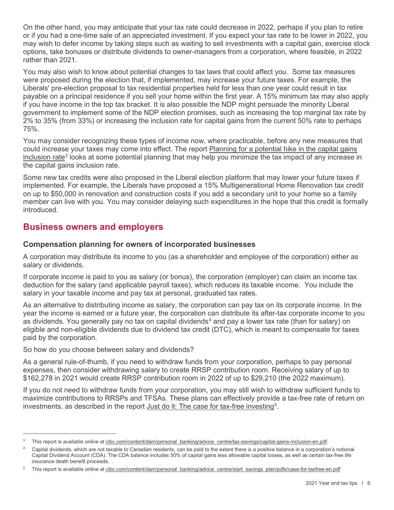On the other hand, you may anticipate that your tax rate could decrease in 2022, perhaps if you plan to retire or if you had a one-time sale of an appreciated investment. If you expect your tax rate to be lower in 2022, you may wish to defer income by taking steps such as waiting to sell investments with a capital gain, exercise stock options, take bonuses or distribute dividends to owner-managers from a corporation, where feasible, in 2022 rather than 2021.

You may also wish to know about potential changes to tax laws that could affect you. Some tax measures were proposed during the election that, if implemented, may increase your future taxes. For example, the Liberals' pre-election proposal to tax residential properties held for less than one year could result in tax payable on a principal residence if you sell your home within the first year. A 15% minimum tax may also apply if you have income in the top tax bracket. It is also possible the NDP might persuade the minority Liberal government to implement some of the NDP election promises, such as increasing the top marginal tax rate by 2% to 35% (from 33%) or increasing the inclusion rate for capital gains from the current 50% rate to perhaps 75%.

You may consider recognizing these types of income now, where practicable, before any new measures that could increase your taxes may come into effect. The report [Planning for a potential hike in the capital gains](https://www.cibc.com/content/dam/personal_banking/advice_centre/tax-savings/capital-gains-inclusion-en.pdf)  [inclusion rate](https://www.cibc.com/content/dam/personal_banking/advice_centre/tax-savings/capital-gains-inclusion-en.pdf)<sup>[3](#page-5-0)</sup> looks at some potential planning that may help you minimize the tax impact of any increase in the capital gains inclusion rate.

Some new tax credits were also proposed in the Liberal election platform that may lower your future taxes if implemented. For example, the Liberals have proposed a 15% Multigenerational Home Renovation tax credit on up to \$50,000 in renovation and construction costs if you add a secondary unit to your home so a family member can live with you. You may consider delaying such expenditures in the hope that this credit is formally introduced.

## **Business owners and employers**

## **Compensation planning for owners of incorporated businesses**

A corporation may distribute its income to you (as a shareholder and employee of the corporation) either as salary or dividends.

If corporate income is paid to you as salary (or bonus), the corporation (employer) can claim an income tax deduction for the salary (and applicable payroll taxes), which reduces its taxable income. You include the salary in your taxable income and pay tax at personal, graduated tax rates.

As an alternative to distributing income as salary, the corporation can pay tax on its corporate income. In the year the income is earned or a future year, the corporation can distribute its after-tax corporate income to you as dividends. You generally pay no tax on capital dividends<sup>[4](#page-5-1)</sup> and pay a lower tax rate (than for salary) on eligible and non-eligible dividends due to dividend tax credit (DTC), which is meant to compensate for taxes paid by the corporation.

So how do you choose between salary and dividends?

As a general rule-of-thumb, if you need to withdraw funds from your corporation, perhaps to pay personal expenses, then consider withdrawing salary to create RRSP contribution room. Receiving salary of up to \$162,278 in 2021 would create RRSP contribution room in 2022 of up to \$29,210 (the 2022 maximum).

If you do not need to withdraw funds from your corporation, you may still wish to withdraw sufficient funds to maximize contributions to RRSPs and TFSAs. These plans can effectively provide a tax-free rate of return on investments, as described in the report <u>Just do it: The case for tax-free investing</u><sup>[5](#page-5-2)</sup>.

<span id="page-5-0"></span>This report is available online a[t cibc.com/content/dam/personal\\_banking/advice\\_centre/tax-savings/capital-gains-inclusion-en.pdf.](https://www.cibc.com/content/dam/personal_banking/advice_centre/tax-savings/capital-gains-inclusion-en.pdf)

<span id="page-5-1"></span><sup>4</sup> Capital dividends, which are not taxable to Canadian residents, can be paid to the extent there is a positive balance in a corporation's notional Capital Dividend Account (CDA). The CDA balance includes 50% of capital gains less allowable capital losses, as well as certain tax-free life insurance death benefit proceeds. .

<span id="page-5-2"></span>This report is available online a[t cibc.com/content/dam/personal\\_banking/advice\\_centre/start\\_savings\\_plan/pdfs/case-for-taxfree-en.pdf](https://www.cibc.com/content/dam/personal_banking/advice_centre/start_savings_plan/pdfs/case-for-taxfree-en.pdf)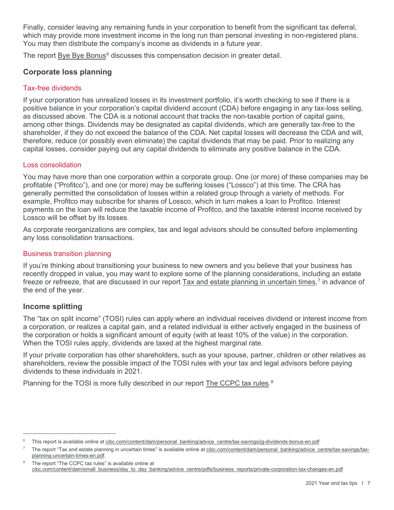Finally, consider leaving any remaining funds in your corporation to benefit from the significant tax deferral, which may provide more investment income in the long run than personal investing in non-registered plans. You may then distribute the company's income as dividends in a future year.

The report [Bye Bye Bonus](https://www.cibc.com/content/dam/personal_banking/advice_centre/tax-savings/jg-dividends-bonus-en.pdf)<sup>[6](#page-6-0)</sup> discusses this compensation decision in greater detail.

### **Corporate loss planning**

### Tax-free dividends

If your corporation has unrealized losses in its investment portfolio, it's worth checking to see if there is a positive balance in your corporation's capital dividend account (CDA) before engaging in any tax-loss selling, as discussed above. The CDA is a notional account that tracks the non-taxable portion of capital gains, among other things. Dividends may be designated as capital dividends, which are generally tax-free to the shareholder, if they do not exceed the balance of the CDA. Net capital losses will decrease the CDA and will, therefore, reduce (or possibly even eliminate) the capital dividends that may be paid. Prior to realizing any capital losses, consider paying out any capital dividends to eliminate any positive balance in the CDA.

### Loss consolidation

You may have more than one corporation within a corporate group. One (or more) of these companies may be profitable ("Profitco"), and one (or more) may be suffering losses ("Lossco") at this time. The CRA has generally permitted the consolidation of losses within a related group through a variety of methods. For example, Profitco may subscribe for shares of Lossco, which in turn makes a loan to Profitco. Interest payments on the loan will reduce the taxable income of Profitco, and the taxable interest income received by Lossco will be offset by its losses.

As corporate reorganizations are complex, tax and legal advisors should be consulted before implementing any loss consolidation transactions.

#### Business transition planning

If you're thinking about transitioning your business to new owners and you believe that your business has recently dropped in value, you may want to explore some of the planning considerations, including an estate freeze or refreeze, that are discussed in our report <u>Tax and estate planning in uncertain times</u>,<sup>[7](#page-6-1)</sup> in advance of the end of the year.

### **Income splitting**

The "tax on split income" (TOSI) rules can apply where an individual receives dividend or interest income from a corporation, or realizes a capital gain, and a related individual is either actively engaged in the business of the corporation or holds a significant amount of equity (with at least 10% of the value) in the corporation. When the TOSI rules apply, dividends are taxed at the highest marginal rate.

If your private corporation has other shareholders, such as your spouse, partner, children or other relatives as shareholders, review the possible impact of the TOSI rules with your tax and legal advisors before paying dividends to these individuals in 2021.

Planning for the TOSI is more fully described in our report [The CCPC tax rules.](https://www.cibc.com/content/dam/small_business/day_to_day_banking/advice_centre/pdfs/business_reports/private-corporation-tax-changes-en.pdf)<sup>[8](#page-6-2)</sup>

<span id="page-6-0"></span>This report is available online a[t cibc.com/content/dam/personal\\_banking/advice\\_centre/tax-savings/jg-dividends-bonus-en.pdf](https://www.cibc.com/content/dam/personal_banking/advice_centre/tax-savings/jg-dividends-bonus-en.pdf)

<span id="page-6-1"></span>The report "Tax and estate planning in uncertain times" is available online at [cibc.com/content/dam/personal\\_banking/advice\\_centre/tax-savings/tax](https://www.cibc.com/content/dam/personal_banking/advice_centre/tax-savings/tax-planning-uncertain-times-en.pdf)[planning-uncertain-times-en.pdf.](https://www.cibc.com/content/dam/personal_banking/advice_centre/tax-savings/tax-planning-uncertain-times-en.pdf)

<span id="page-6-2"></span>The report "The CCPC tax rules" is available online at [cibc.com/content/dam/small\\_business/day\\_to\\_day\\_banking/advice\\_centre/pdfs/business\\_reports/private-corporation-tax-changes-en.pdf](https://www.cibc.com/content/dam/small_business/day_to_day_banking/advice_centre/pdfs/business_reports/private-corporation-tax-changes-en.pdf)